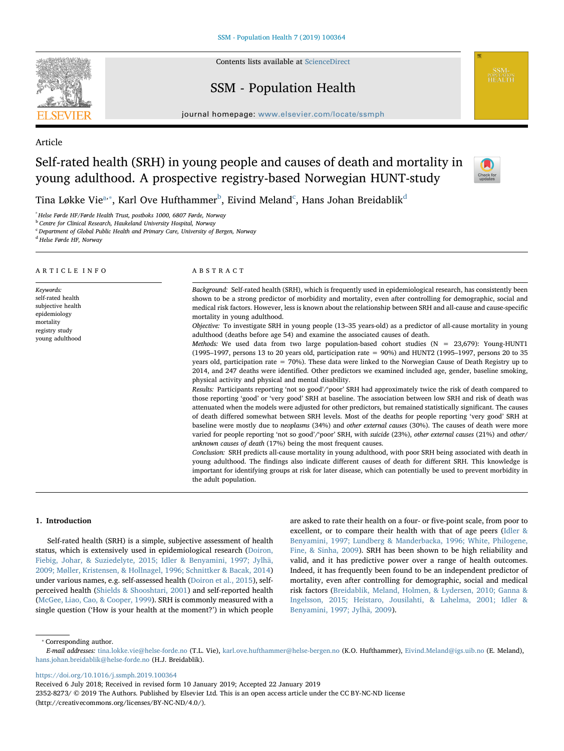Contents lists available at [ScienceDirect](http://www.sciencedirect.com/science/journal/23528273)

# SSM - Population Health

journal homepage: [www.elsevier.com/locate/ssmph](https://www.elsevier.com/locate/ssmph)

# Article

# Self-rated health (SRH) in young people and causes of death and mortality in young adulthood. A prospective registry-based Norwegian HUNT-study



Tina Løkke Vie $^{\text{\tiny \textup{a}},*}$ , Karl Ove Hufthammer $^{\text{\tiny \textup{b}}},$  $^{\text{\tiny \textup{b}}},$  $^{\text{\tiny \textup{b}}},$  Eivin[d](#page-0-4) Meland $^{\text{\tiny \textup{c}}},$  $^{\text{\tiny \textup{c}}},$  $^{\text{\tiny \textup{c}}},$  Hans Johan Breidablik $^{\text{\tiny \textup{d}}}$ 

<span id="page-0-0"></span>ª Helse Førde HF/Førde Health Trust, postboks 1000, 6807 Førde, Norway

<span id="page-0-2"></span>**b** Centre for Clinical Research, Haukeland University Hospital, Norway

<span id="page-0-3"></span><sup>c</sup> Department of Global Public Health and Primary Care, University of Bergen, Norway

<span id="page-0-4"></span><sup>d</sup> Helse Førde HF, Norway

ARTICLE INFO Keywords: self-rated health subjective health epidemiology mortality registry study young adulthood ABSTRACT Background: Self-rated health (SRH), which is frequently used in epidemiological research, has consistently been shown to be a strong predictor of morbidity and mortality, even after controlling for demographic, social and medical risk factors. However, less is known about the relationship between SRH and all-cause and cause-specific mortality in young adulthood. Objective: To investigate SRH in young people (13–35 years-old) as a predictor of all-cause mortality in young adulthood (deaths before age 54) and examine the associated causes of death. Methods: We used data from two large population-based cohort studies  $(N = 23,679)$ : Young-HUNT1 (1995–1997, persons 13 to 20 years old, participation rate = 90%) and HUNT2 (1995–1997, persons 20 to 35 years old, participation rate = 70%). These data were linked to the Norwegian Cause of Death Registry up to 2014, and 247 deaths were identified. Other predictors we examined included age, gender, baseline smoking, physical activity and physical and mental disability. Results: Participants reporting 'not so good'/'poor' SRH had approximately twice the risk of death compared to those reporting 'good' or 'very good' SRH at baseline. The association between low SRH and risk of death was attenuated when the models were adjusted for other predictors, but remained statistically significant. The causes of death differed somewhat between SRH levels. Most of the deaths for people reporting 'very good' SRH at baseline were mostly due to neoplasms (34%) and other external causes (30%). The causes of death were more varied for people reporting 'not so good'/'poor' SRH, with suicide (23%), other external causes (21%) and other/ unknown causes of death (17%) being the most frequent causes. Conclusion: SRH predicts all-cause mortality in young adulthood, with poor SRH being associated with death in young adulthood. The findings also indicate different causes of death for different SRH. This knowledge is important for identifying groups at risk for later disease, which can potentially be used to prevent morbidity in the adult population.

## 1. Introduction

Self-rated health (SRH) is a simple, subjective assessment of health status, which is extensively used in epidemiological research [\(Doiron,](#page-5-0) [Fiebig, Johar, & Suziedelyte, 2015; Idler & Benyamini, 1997; Jylhä,](#page-5-0) [2009; Møller, Kristensen, & Hollnagel, 1996; Schnittker & Bacak, 2014\)](#page-5-0) under various names, e.g. self-assessed health [\(Doiron et al., 2015\)](#page-5-1), selfperceived health [\(Shields & Shooshtari, 2001](#page-5-2)) and self-reported health ([McGee, Liao, Cao, & Cooper, 1999](#page-5-3)). SRH is commonly measured with a single question ('How is your health at the moment?') in which people

are asked to rate their health on a four- or five-point scale, from poor to excellent, or to compare their health with that of age peers [\(Idler &](#page-5-4) [Benyamini, 1997; Lundberg & Manderbacka, 1996; White, Philogene,](#page-5-4) [Fine, & Sinha, 2009\)](#page-5-4). SRH has been shown to be high reliability and valid, and it has predictive power over a range of health outcomes. Indeed, it has frequently been found to be an independent predictor of mortality, even after controlling for demographic, social and medical risk factors [\(Breidablik, Meland, Holmen, & Lydersen, 2010; Ganna &](#page-5-5) [Ingelsson, 2015; Heistaro, Jousilahti, & Lahelma, 2001; Idler &](#page-5-5) [Benyamini, 1997; Jylhä, 2009\)](#page-5-5).

<span id="page-0-1"></span>⁎ Corresponding author.

<https://doi.org/10.1016/j.ssmph.2019.100364>

Received 6 July 2018; Received in revised form 10 January 2019; Accepted 22 January 2019

E-mail addresses: [tina.lokke.vie@helse-forde.no](mailto:tina.lokke.vie@helse-forde.no) (T.L. Vie), [karl.ove.hufthammer@helse-bergen.no](mailto:karl.ove.hufthammer@helse-bergen.no) (K.O. Hufthammer), [Eivind.Meland@igs.uib.no](mailto:Eivind.Meland@igs.uib.no) (E. Meland), [hans.johan.breidablik@helse-forde.no](mailto:hans.johan.breidablik@helse-forde.no) (H.J. Breidablik).

<sup>2352-8273/ © 2019</sup> The Authors. Published by Elsevier Ltd. This is an open access article under the CC BY-NC-ND license (http://creativecommons.org/licenses/BY-NC-ND/4.0/).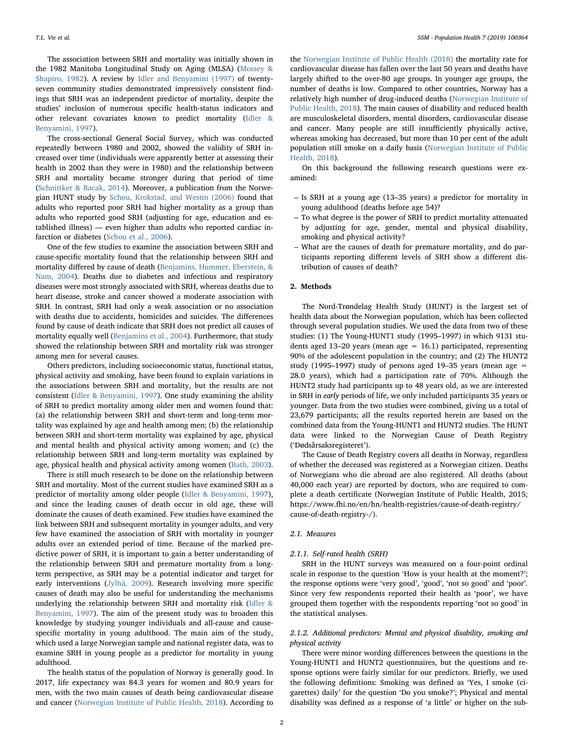The association between SRH and mortality was initially shown in the 1982 Manitoba Longitudinal Study on Aging (MLSA) ([Mossey &](#page-5-6) [Shapiro, 1982](#page-5-6)). A review by [Idler and Benyamini \(1997\)](#page-5-5) of twentyseven community studies demonstrated impressively consistent findings that SRH was an independent predictor of mortality, despite the studies' inclusion of numerous specific health-status indicators and other relevant covariates known to predict mortality ([Idler &](#page-5-5) [Benyamini, 1997](#page-5-5)).

The cross-sectional General Social Survey, which was conducted repeatedly between 1980 and 2002, showed the validity of SRH increased over time (individuals were apparently better at assessing their health in 2002 than they were in 1980) and the relationship between SRH and mortality became stronger during that period of time ([Schnittker & Bacak, 2014](#page-5-7)). Moreover, a publication from the Norwegian HUNT study by [Schou, Krokstad, and Westin \(2006\)](#page-5-8) found that adults who reported poor SRH had higher mortality as a group than adults who reported good SRH (adjusting for age, education and established illness) — even higher than adults who reported cardiac infarction or diabetes ([Schou et al., 2006](#page-5-8)).

One of the few studies to examine the association between SRH and cause-specific mortality found that the relationship between SRH and mortality differed by cause of death [\(Benjamins, Hummer, Eberstein, &](#page-5-9) [Nam, 2004](#page-5-9)). Deaths due to diabetes and infectious and respiratory diseases were most strongly associated with SRH, whereas deaths due to heart disease, stroke and cancer showed a moderate association with SRH. In contrast, SRH had only a weak association or no association with deaths due to accidents, homicides and suicides. The differences found by cause of death indicate that SRH does not predict all causes of mortality equally well ([Benjamins et al., 2004\)](#page-5-9). Furthermore, that study showed the relationship between SRH and mortality risk was stronger among men for several causes.

Others predictors, including socioeconomic status, functional status, physical activity and smoking, have been found to explain variations in the associations between SRH and mortality, but the results are not consistent [\(Idler & Benyamini, 1997](#page-5-5)). One study examining the ability of SRH to predict mortality among older men and women found that: (a) the relationship between SRH and short-term and long-term mortality was explained by age and health among men; (b) the relationship between SRH and short-term mortality was explained by age, physical and mental health and physical activity among women; and (c) the relationship between SRH and long-term mortality was explained by age, physical health and physical activity among women ([Bath, 2003](#page-5-10)).

There is still much research to be done on the relationship between SRH and mortality. Most of the current studies have examined SRH as a predictor of mortality among older people [\(Idler & Benyamini, 1997](#page-5-5)), and since the leading causes of death occur in old age, these will dominate the causes of death examined. Few studies have examined the link between SRH and subsequent mortality in younger adults, and very few have examined the association of SRH with mortality in younger adults over an extended period of time. Because of the marked predictive power of SRH, it is important to gain a better understanding of the relationship between SRH and premature mortality from a longterm perspective, as SRH may be a potential indicator and target for early interventions [\(Jylhä, 2009\)](#page-5-11). Research involving more specific causes of death may also be useful for understanding the mechanisms underlying the relationship between SRH and mortality risk [\(Idler &](#page-5-5) [Benyamini, 1997\)](#page-5-5). The aim of the present study was to broaden this knowledge by studying younger individuals and all-cause and causespecific mortality in young adulthood. The main aim of the study, which used a large Norwegian sample and national register data, was to examine SRH in young people as a predictor for mortality in young adulthood.

The health status of the population of Norway is generally good. In 2017, life expectancy was 84.3 years for women and 80.9 years for men, with the two main causes of death being cardiovascular disease and cancer ([Norwegian Institute of Public Health, 2018](#page-5-12)). According to

the [Norwegian Institute of Public Health \(2018\)](#page-5-12) the mortality rate for cardiovascular disease has fallen over the last 50 years and deaths have largely shifted to the over-80 age groups. In younger age groups, the number of deaths is low. Compared to other countries, Norway has a relatively high number of drug-induced deaths ([Norwegian Institute of](#page-5-12) [Public Health, 2018](#page-5-12)). The main causes of disability and reduced health are musculoskeletal disorders, mental disorders, cardiovascular disease and cancer. Many people are still insufficiently physically active, whereas smoking has decreased, but more than 10 per cent of the adult population still smoke on a daily basis ([Norwegian Institute of Public](#page-5-12) [Health, 2018\)](#page-5-12).

On this background the following research questions were examined:

- Is SRH at a young age (13–35 years) a predictor for mortality in young adulthood (deaths before age 54)?
- To what degree is the power of SRH to predict mortality attenuated by adjusting for age, gender, mental and physical disability, smoking and physical activity?
- What are the causes of death for premature mortality, and do participants reporting different levels of SRH show a different distribution of causes of death?

### 2. Methods

The Nord-Trøndelag Health Study (HUNT) is the largest set of health data about the Norwegian population, which has been collected through several population studies. We used the data from two of these studies: (1) The Young-HUNT1 study (1995–1997) in which 9131 students aged 13–20 years (mean age =  $16.1$ ) participated, representing 90% of the adolescent population in the country; and (2) The HUNT2 study (1995–1997) study of persons aged 19–35 years (mean age = 28.0 years), which had a participation rate of 70%. Although the HUNT2 study had participants up to 48 years old, as we are interested in SRH in early periods of life, we only included participants 35 years or younger. Data from the two studies were combined, giving us a total of 23,679 participants; all the results reported herein are based on the combined data from the Young-HUNT1 and HUNT2 studies. The HUNT data were linked to the Norwegian Cause of Death Registry ('Dødsårsaksregisteret').

The Cause of Death Registry covers all deaths in Norway, regardless of whether the deceased was registered as a Norwegian citizen. Deaths of Norwegians who die abroad are also registered. All deaths (about 40,000 each year) are reported by doctors, who are required to complete a death certificate (Norwegian Institute of Public Health, 2015; https://www.fhi.no/en/hn/health-registries/cause-of-death-registry/ cause-of-death-registry-/).

#### 2.1. Measures

# 2.1.1. Self-rated health (SRH)

SRH in the HUNT surveys was measured on a four-point ordinal scale in response to the question 'How is your health at the moment?'; the response options were 'very good', 'good', 'not so good' and 'poor'. Since very few respondents reported their health as 'poor', we have grouped them together with the respondents reporting 'not so good' in the statistical analyses.

# 2.1.2. Additional predictors: Mental and physical disability, smoking and physical activity

There were minor wording differences between the questions in the Young-HUNT1 and HUNT2 questionnaires, but the questions and response options were fairly similar for our predictors. Briefly, we used the following definitions: Smoking was defined as 'Yes, I smoke (cigarettes) daily' for the question 'Do you smoke?'; Physical and mental disability was defined as a response of 'a little' or higher on the sub-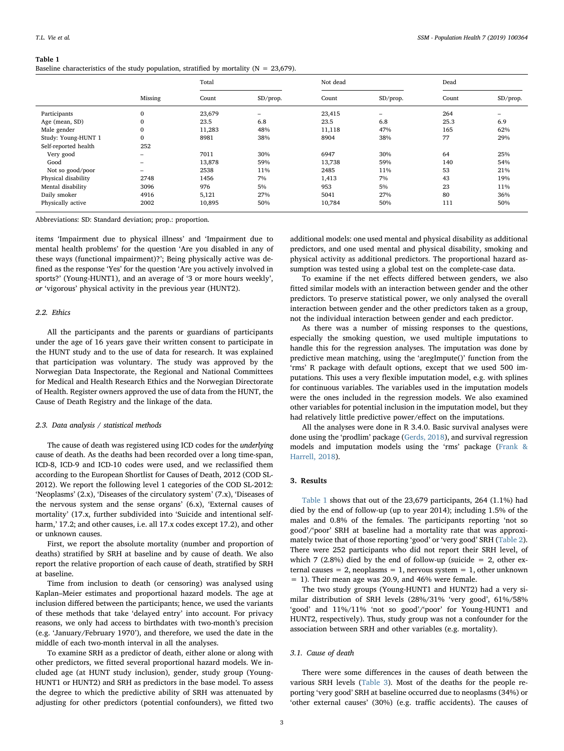#### <span id="page-2-0"></span>Table 1

Baseline characteristics of the study population, stratified by mortality ( $N = 23,679$ ).

|                      |                          | Total  |          | Not dead |          | Dead  |          |  |
|----------------------|--------------------------|--------|----------|----------|----------|-------|----------|--|
|                      | Missing                  | Count  | SD/prop. | Count    | SD/prop. | Count | SD/prop. |  |
| Participants         | $\mathbf{0}$             | 23,679 | -        | 23,415   | $-$      | 264   | -        |  |
| Age (mean, SD)       | $\mathbf{0}$             | 23.5   | 6.8      | 23.5     | 6.8      | 25.3  | 6.9      |  |
| Male gender          | $\mathbf{0}$             | 11,283 | 48%      | 11,118   | 47%      | 165   | 62%      |  |
| Study: Young-HUNT 1  | $\mathbf{0}$             | 8981   | 38%      | 8904     | 38%      | 77    | 29%      |  |
| Self-reported health | 252                      |        |          |          |          |       |          |  |
| Very good            | -                        | 7011   | 30%      | 6947     | 30%      | 64    | 25%      |  |
| Good                 | $\overline{\phantom{0}}$ | 13,878 | 59%      | 13,738   | 59%      | 140   | 54%      |  |
| Not so good/poor     | -                        | 2538   | 11%      | 2485     | 11%      | 53    | 21%      |  |
| Physical disability  | 2748                     | 1456   | 7%       | 1,413    | 7%       | 43    | 19%      |  |
| Mental disability    | 3096                     | 976    | 5%       | 953      | 5%       | 23    | 11%      |  |
| Daily smoker         | 4916                     | 5,121  | 27%      | 5041     | 27%      | 80    | 36%      |  |
| Physically active    | 2002                     | 10,895 | 50%      | 10,784   | 50%      | 111   | 50%      |  |

Abbreviations: SD: Standard deviation; prop.: proportion.

items 'Impairment due to physical illness' and 'Impairment due to mental health problems' for the question 'Are you disabled in any of these ways (functional impairment)?'; Being physically active was defined as the response 'Yes' for the question 'Are you actively involved in sports?' (Young-HUNT1), and an average of '3 or more hours weekly', or 'vigorous' physical activity in the previous year (HUNT2).

### 2.2. Ethics

All the participants and the parents or guardians of participants under the age of 16 years gave their written consent to participate in the HUNT study and to the use of data for research. It was explained that participation was voluntary. The study was approved by the Norwegian Data Inspectorate, the Regional and National Committees for Medical and Health Research Ethics and the Norwegian Directorate of Health. Register owners approved the use of data from the HUNT, the Cause of Death Registry and the linkage of the data.

## 2.3. Data analysis / statistical methods

The cause of death was registered using ICD codes for the underlying cause of death. As the deaths had been recorded over a long time-span, ICD-8, ICD-9 and ICD-10 codes were used, and we reclassified them according to the European Shortlist for Causes of Death, 2012 (COD SL-2012). We report the following level 1 categories of the COD SL-2012: 'Neoplasms' (2.x), 'Diseases of the circulatory system' (7.x), 'Diseases of the nervous system and the sense organs' (6.x), 'External causes of mortality' (17.x, further subdivided into 'Suicide and intentional selfharm,' 17.2; and other causes, i.e. all 17.x codes except 17.2), and other or unknown causes.

First, we report the absolute mortality (number and proportion of deaths) stratified by SRH at baseline and by cause of death. We also report the relative proportion of each cause of death, stratified by SRH at baseline.

Time from inclusion to death (or censoring) was analysed using Kaplan–Meier estimates and proportional hazard models. The age at inclusion differed between the participants; hence, we used the variants of these methods that take 'delayed entry' into account. For privacy reasons, we only had access to birthdates with two-month's precision (e.g. 'January/February 1970'), and therefore, we used the date in the middle of each two-month interval in all the analyses.

To examine SRH as a predictor of death, either alone or along with other predictors, we fitted several proportional hazard models. We included age (at HUNT study inclusion), gender, study group (Young-HUNT1 or HUNT2) and SRH as predictors in the base model. To assess the degree to which the predictive ability of SRH was attenuated by adjusting for other predictors (potential confounders), we fitted two additional models: one used mental and physical disability as additional predictors, and one used mental and physical disability, smoking and physical activity as additional predictors. The proportional hazard assumption was tested using a global test on the complete-case data.

To examine if the net effects differed between genders, we also fitted similar models with an interaction between gender and the other predictors. To preserve statistical power, we only analysed the overall interaction between gender and the other predictors taken as a group, not the individual interaction between gender and each predictor.

As there was a number of missing responses to the questions, especially the smoking question, we used multiple imputations to handle this for the regression analyses. The imputation was done by predictive mean matching, using the 'aregImpute()' function from the 'rms' R package with default options, except that we used 500 imputations. This uses a very flexible imputation model, e.g. with splines for continuous variables. The variables used in the imputation models were the ones included in the regression models. We also examined other variables for potential inclusion in the imputation model, but they had relatively little predictive power/effect on the imputations.

All the analyses were done in R 3.4.0. Basic survival analyses were done using the 'prodlim' package [\(Gerds, 2018\)](#page-5-13), and survival regression models and imputation models using the 'rms' package ([Frank &](#page-5-14) [Harrell, 2018](#page-5-14)).

# 3. Results

[Table 1](#page-2-0) shows that out of the 23,679 participants, 264 (1.1%) had died by the end of follow-up (up to year 2014); including 1.5% of the males and 0.8% of the females. The participants reporting 'not so good'/'poor' SRH at baseline had a mortality rate that was approximately twice that of those reporting 'good' or 'very good' SRH ([Table 2](#page-3-0)). There were 252 participants who did not report their SRH level, of which 7 (2.8%) died by the end of follow-up (suicide  $= 2$ , other external causes = 2, neoplasms = 1, nervous system = 1, other unknown = 1). Their mean age was 20.9, and 46% were female.

The two study groups (Young-HUNT1 and HUNT2) had a very similar distribution of SRH levels (28%/31% 'very good', 61%/58% 'good' and 11%/11% 'not so good'/'poor' for Young-HUNT1 and HUNT2, respectively). Thus, study group was not a confounder for the association between SRH and other variables (e.g. mortality).

#### 3.1. Cause of death

There were some differences in the causes of death between the various SRH levels ([Table 3\)](#page-3-1). Most of the deaths for the people reporting 'very good' SRH at baseline occurred due to neoplasms (34%) or 'other external causes' (30%) (e.g. traffic accidents). The causes of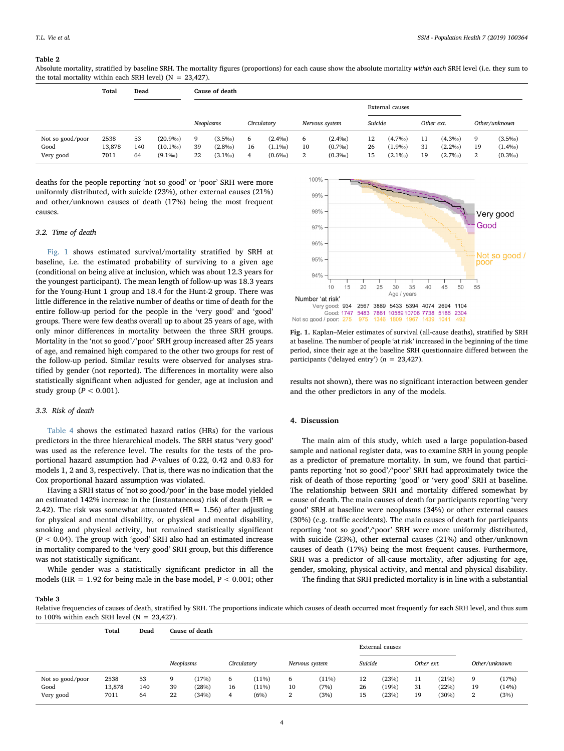#### <span id="page-3-0"></span>Table 2

Absolute mortality, stratified by baseline SRH. The mortality figures (proportions) for each cause show the absolute mortality within each SRH level (i.e. they sum to the total mortality within each SRH level) ( $N = 23.427$ ).

|                                       | Total                  | Dead            |                                       |               | Cause of death                      |              |                                     |              |                                         |                 |                                                  |                |                                     |              |                                       |  |  |
|---------------------------------------|------------------------|-----------------|---------------------------------------|---------------|-------------------------------------|--------------|-------------------------------------|--------------|-----------------------------------------|-----------------|--------------------------------------------------|----------------|-------------------------------------|--------------|---------------------------------------|--|--|
|                                       |                        |                 |                                       |               |                                     |              |                                     |              |                                         | External causes |                                                  |                |                                     |              |                                       |  |  |
|                                       |                        |                 |                                       |               | Circulatory<br>Neoplasms            |              | Nervous system                      |              | Suicide                                 |                 | Other ext.                                       |                | Other/unknown                       |              |                                       |  |  |
| Not so good/poor<br>Good<br>Very good | 2538<br>13,878<br>7011 | 53<br>140<br>64 | $(20.9\%)$<br>$(10.1\%)$<br>$(9.1\%)$ | 9<br>39<br>22 | $(3.5\%)$<br>$(2.8\%)$<br>$(3.1\%)$ | 6<br>16<br>4 | $(2.4\%)$<br>$(1.1\%)$<br>$(0.6\%)$ | 6<br>10<br>2 | $(2.4\%)$<br>$(0.7\%_0)$<br>$(0.3\%_0)$ | 12<br>26<br>15  | $(4.7\%$ <sup>0</sup><br>$(1.9\%0)$<br>$(2.1\%)$ | 11<br>31<br>19 | $(4.3\%)$<br>$(2.2\%)$<br>$(2.7\%)$ | 9<br>19<br>2 | $(3.5\%)$<br>$(1.4\%)$<br>$(0.3\%_0)$ |  |  |

deaths for the people reporting 'not so good' or 'poor' SRH were more uniformly distributed, with suicide (23%), other external causes (21%) and other/unknown causes of death (17%) being the most frequent causes.

#### 3.2. Time of death

[Fig. 1](#page-3-2) shows estimated survival/mortality stratified by SRH at baseline, i.e. the estimated probability of surviving to a given age (conditional on being alive at inclusion, which was about 12.3 years for the youngest participant). The mean length of follow-up was 18.3 years for the Young-Hunt 1 group and 18.4 for the Hunt-2 group. There was little difference in the relative number of deaths or time of death for the entire follow-up period for the people in the 'very good' and 'good' groups. There were few deaths overall up to about 25 years of age, with only minor differences in mortality between the three SRH groups. Mortality in the 'not so good'/'poor' SRH group increased after 25 years of age, and remained high compared to the other two groups for rest of the follow-up period. Similar results were observed for analyses stratified by gender (not reported). The differences in mortality were also statistically significant when adjusted for gender, age at inclusion and study group ( $P < 0.001$ ).

# 3.3. Risk of death

[Table 4](#page-4-0) shows the estimated hazard ratios (HRs) for the various predictors in the three hierarchical models. The SRH status 'very good' was used as the reference level. The results for the tests of the proportional hazard assumption had P-values of 0.22, 0.42 and 0.83 for models 1, 2 and 3, respectively. That is, there was no indication that the Cox proportional hazard assumption was violated.

Having a SRH status of 'not so good/poor' in the base model yielded an estimated 142% increase in the (instantaneous) risk of death (HR  $=$ 2.42). The risk was somewhat attenuated (HR =  $1.56$ ) after adjusting for physical and mental disability, or physical and mental disability, smoking and physical activity, but remained statistically significant (P < 0.04). The group with 'good' SRH also had an estimated increase in mortality compared to the 'very good' SRH group, but this difference was not statistically significant.

While gender was a statistically significant predictor in all the models (HR =  $1.92$  for being male in the base model,  $P < 0.001$ ; other

<span id="page-3-2"></span>

Fig. 1. Kaplan–Meier estimates of survival (all-cause deaths), stratified by SRH at baseline. The number of people 'at risk' increased in the beginning of the time period, since their age at the baseline SRH questionnaire differed between the participants ('delayed entry')  $(n = 23,427)$ .

results not shown), there was no significant interaction between gender and the other predictors in any of the models.

#### 4. Discussion

The main aim of this study, which used a large population-based sample and national register data, was to examine SRH in young people as a predictor of premature mortality. In sum, we found that participants reporting 'not so good'/'poor' SRH had approximately twice the risk of death of those reporting 'good' or 'very good' SRH at baseline. The relationship between SRH and mortality differed somewhat by cause of death. The main causes of death for participants reporting 'very good' SRH at baseline were neoplasms (34%) or other external causes (30%) (e.g. traffic accidents). The main causes of death for participants reporting 'not so good'/'poor' SRH were more uniformly distributed, with suicide (23%), other external causes (21%) and other/unknown causes of death (17%) being the most frequent causes. Furthermore, SRH was a predictor of all-cause mortality, after adjusting for age, gender, smoking, physical activity, and mental and physical disability.

The finding that SRH predicted mortality is in line with a substantial

#### <span id="page-3-1"></span>Table 3

Relative frequencies of causes of death, stratified by SRH. The proportions indicate which causes of death occurred most frequently for each SRH level, and thus sum to 100% within each SRH level ( $N = 23,427$ ).

|                                       | Total                  | Dead            |               | Cause of death          |              |                        |                |                       |                |                         |                |                         |               |                        |
|---------------------------------------|------------------------|-----------------|---------------|-------------------------|--------------|------------------------|----------------|-----------------------|----------------|-------------------------|----------------|-------------------------|---------------|------------------------|
|                                       |                        |                 |               |                         |              |                        |                |                       |                | External causes         |                |                         |               |                        |
|                                       |                        |                 | Neoplasms     |                         | Circulatory  |                        | Nervous system |                       | Suicide        |                         | Other ext.     |                         | Other/unknown |                        |
| Not so good/poor<br>Good<br>Very good | 2538<br>13,878<br>7011 | 53<br>140<br>64 | 9<br>39<br>22 | (17%)<br>(28%)<br>(34%) | 6<br>16<br>4 | (11%)<br>(11%)<br>(6%) | 6<br>10<br>2   | (11%)<br>(7%)<br>(3%) | 12<br>26<br>15 | (23%)<br>(19%)<br>(23%) | 11<br>31<br>19 | (21%)<br>(22%)<br>(30%) | 9<br>19<br>2  | (17%)<br>(14%)<br>(3%) |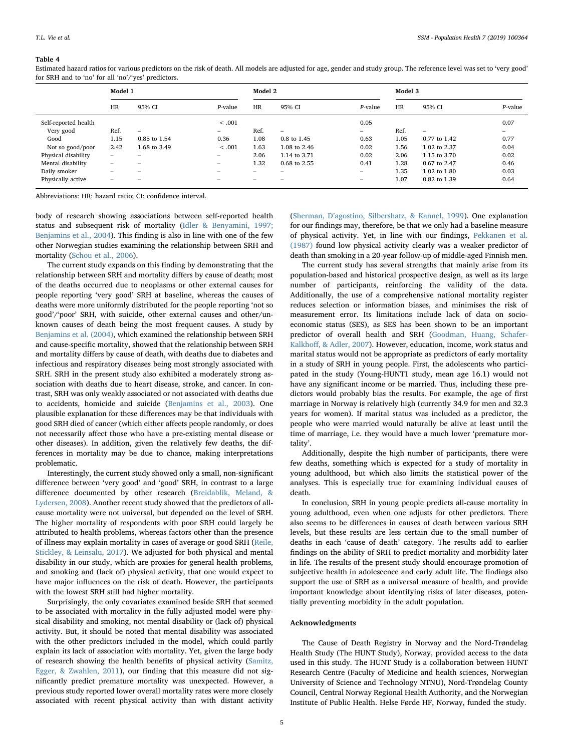#### <span id="page-4-0"></span>Table 4

Estimated hazard ratios for various predictors on the risk of death. All models are adjusted for age, gender and study group. The reference level was set to 'very good' for SRH and to 'no' for all 'no'/'yes' predictors.

|                      | Model 1                  |                 |                          | Model 2                  |                          |                          | Model 3   |                          |                          |  |
|----------------------|--------------------------|-----------------|--------------------------|--------------------------|--------------------------|--------------------------|-----------|--------------------------|--------------------------|--|
|                      | HR                       | 95% CI          | $P$ -value               | <b>HR</b>                | 95% CI                   | $P$ -value               | <b>HR</b> | 95% CI                   | $P$ -value               |  |
| Self-reported health |                          |                 | <.001                    |                          |                          | 0.05                     |           |                          | 0.07                     |  |
| Very good            | Ref.                     | $\qquad \qquad$ | -                        | Ref.                     | $\overline{\phantom{0}}$ | -                        | Ref.      | $\overline{\phantom{0}}$ | $\overline{\phantom{0}}$ |  |
| Good                 | 1.15                     | 0.85 to 1.54    | 0.36                     | 1.08                     | 0.8 to 1.45              | 0.63                     | 1.05      | 0.77 to 1.42             | 0.77                     |  |
| Not so good/poor     | 2.42                     | 1.68 to 3.49    | < .001                   | 1.63                     | 1.08 to 2.46             | 0.02                     | 1.56      | 1.02 to 2.37             | 0.04                     |  |
| Physical disability  | $\overline{\phantom{0}}$ | -               | -                        | 2.06                     | 1.14 to 3.71             | 0.02                     | 2.06      | 1.15 to 3.70             | 0.02                     |  |
| Mental disability    | -                        | -               | -                        | 1.32                     | 0.68 to 2.55             | 0.41                     | 1.28      | 0.67 to 2.47             | 0.46                     |  |
| Daily smoker         | $\equiv$                 | -               | $\overline{\phantom{0}}$ | $\overline{\phantom{0}}$ | $\overline{\phantom{0}}$ | $\overline{\phantom{0}}$ | 1.35      | 1.02 to 1.80             | 0.03                     |  |
| Physically active    | -                        | -               | -                        | -                        | -                        | $\overline{\phantom{0}}$ | 1.07      | 0.82 to 1.39             | 0.64                     |  |
|                      |                          |                 |                          |                          |                          |                          |           |                          |                          |  |

Abbreviations: HR: hazard ratio; CI: confidence interval.

body of research showing associations between self-reported health status and subsequent risk of mortality ([Idler & Benyamini, 1997;](#page-5-5) [Benjamins et al., 2004\)](#page-5-5). This finding is also in line with one of the few other Norwegian studies examining the relationship between SRH and mortality ([Schou et al., 2006\)](#page-5-8).

The current study expands on this finding by demonstrating that the relationship between SRH and mortality differs by cause of death; most of the deaths occurred due to neoplasms or other external causes for people reporting 'very good' SRH at baseline, whereas the causes of deaths were more uniformly distributed for the people reporting 'not so good'/'poor' SRH, with suicide, other external causes and other/unknown causes of death being the most frequent causes. A study by [Benjamins et al. \(2004\),](#page-5-9) which examined the relationship between SRH and cause-specific mortality, showed that the relationship between SRH and mortality differs by cause of death, with deaths due to diabetes and infectious and respiratory diseases being most strongly associated with SRH. SRH in the present study also exhibited a moderately strong association with deaths due to heart disease, stroke, and cancer. In contrast, SRH was only weakly associated or not associated with deaths due to accidents, homicide and suicide ([Benjamins et al., 2003](#page-5-9)). One plausible explanation for these differences may be that individuals with good SRH died of cancer (which either affects people randomly, or does not necessarily affect those who have a pre-existing mental disease or other diseases). In addition, given the relatively few deaths, the differences in mortality may be due to chance, making interpretations problematic.

Interestingly, the current study showed only a small, non-significant difference between 'very good' and 'good' SRH, in contrast to a large difference documented by other research ([Breidablik, Meland, &](#page-5-15) [Lydersen, 2008](#page-5-15)). Another recent study showed that the predictors of allcause mortality were not universal, but depended on the level of SRH. The higher mortality of respondents with poor SRH could largely be attributed to health problems, whereas factors other than the presence of illness may explain mortality in cases of average or good SRH ([Reile,](#page-5-16) [Stickley, & Leinsalu, 2017\)](#page-5-16). We adjusted for both physical and mental disability in our study, which are proxies for general health problems, and smoking and (lack of) physical activity, that one would expect to have major influences on the risk of death. However, the participants with the lowest SRH still had higher mortality.

Surprisingly, the only covariates examined beside SRH that seemed to be associated with mortality in the fully adjusted model were physical disability and smoking, not mental disability or (lack of) physical activity. But, it should be noted that mental disability was associated with the other predictors included in the model, which could partly explain its lack of association with mortality. Yet, given the large body of research showing the health benefits of physical activity ([Samitz,](#page-5-17) Egger, [& Zwahlen, 2011](#page-5-17)), our finding that this measure did not significantly predict premature mortality was unexpected. However, a previous study reported lower overall mortality rates were more closely associated with recent physical activity than with distant activity

(Sherman, D'[agostino, Silbershatz, & Kannel, 1999](#page-5-18)). One explanation for our findings may, therefore, be that we only had a baseline measure of physical activity. Yet, in line with our findings, [Pekkanen et al.](#page-5-19) [\(1987\)](#page-5-19) found low physical activity clearly was a weaker predictor of death than smoking in a 20-year follow-up of middle-aged Finnish men.

The current study has several strengths that mainly arise from its population-based and historical prospective design, as well as its large number of participants, reinforcing the validity of the data. Additionally, the use of a comprehensive national mortality register reduces selection or information biases, and minimises the risk of measurement error. Its limitations include lack of data on socioeconomic status (SES), as SES has been shown to be an important predictor of overall health and SRH [\(Goodman, Huang, Schafer-](#page-5-20)Kalkhoff[, & Adler, 2007\)](#page-5-20). However, education, income, work status and marital status would not be appropriate as predictors of early mortality in a study of SRH in young people. First, the adolescents who participated in the study (Young-HUNT1 study, mean age 16.1) would not have any significant income or be married. Thus, including these predictors would probably bias the results. For example, the age of first marriage in Norway is relatively high (currently 34.9 for men and 32.3 years for women). If marital status was included as a predictor, the people who were married would naturally be alive at least until the time of marriage, i.e. they would have a much lower 'premature mortality'.

Additionally, despite the high number of participants, there were few deaths, something which is expected for a study of mortality in young adulthood, but which also limits the statistical power of the analyses. This is especially true for examining individual causes of death.

In conclusion, SRH in young people predicts all-cause mortality in young adulthood, even when one adjusts for other predictors. There also seems to be differences in causes of death between various SRH levels, but these results are less certain due to the small number of deaths in each 'cause of death' category. The results add to earlier findings on the ability of SRH to predict mortality and morbidity later in life. The results of the present study should encourage promotion of subjective health in adolescence and early adult life. The findings also support the use of SRH as a universal measure of health, and provide important knowledge about identifying risks of later diseases, potentially preventing morbidity in the adult population.

# Acknowledgments

The Cause of Death Registry in Norway and the Nord-Trøndelag Health Study (The HUNT Study), Norway, provided access to the data used in this study. The HUNT Study is a collaboration between HUNT Research Centre (Faculty of Medicine and health sciences, Norwegian University of Science and Technology NTNU), Nord-Trøndelag County Council, Central Norway Regional Health Authority, and the Norwegian Institute of Public Health. Helse Førde HF, Norway, funded the study.